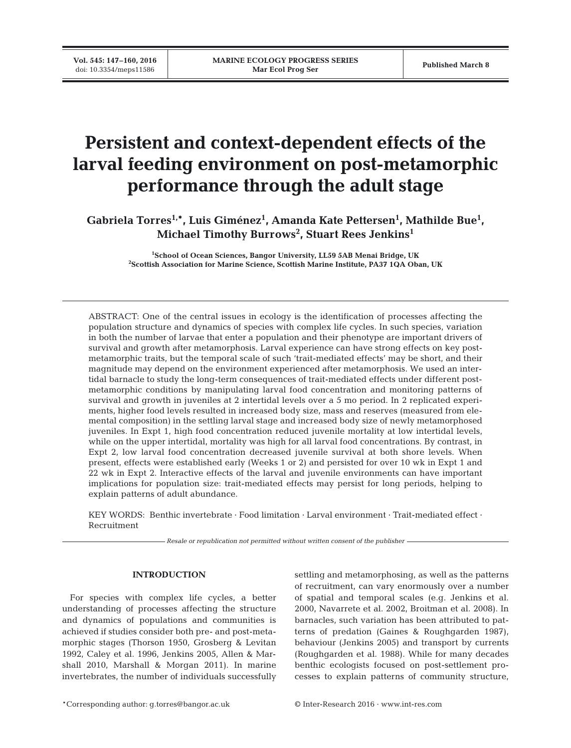# **Persistent and context-dependent effects of the larval feeding environment on post-metamorphic performance through the adult stage**

Gabriela Torres<sup>1,\*</sup>, Luis Giménez<sup>1</sup>, Amanda Kate Pettersen<sup>1</sup>, Mathilde Bue<sup>1</sup>, **Michael Timothy Burrows2 , Stuart Rees Jenkins1**

> **1 School of Ocean Sciences, Bangor University, LL59 5AB Menai Bridge, UK 2 Scottish Association for Marine Science, Scottish Marine Institute, PA37 1QA Oban, UK**

ABSTRACT: One of the central issues in ecology is the identification of processes affecting the population structure and dynamics of species with complex life cycles. In such species, variation in both the number of larvae that enter a population and their phenotype are important drivers of survival and growth after metamorphosis. Larval experience can have strong effects on key postmetamorphic traits, but the temporal scale of such 'trait-mediated effects' may be short, and their magnitude may depend on the environment experienced after metamorphosis. We used an intertidal barnacle to study the long-term consequences of trait-mediated effects under different postmetamorphic conditions by manipulating larval food concentration and monitoring patterns of survival and growth in juveniles at 2 intertidal levels over a 5 mo period. In 2 replicated experiments, higher food levels resulted in increased body size, mass and reserves (measured from elemental composition) in the settling larval stage and increased body size of newly metamorphosed juveniles. In Expt 1, high food concentration reduced juvenile mortality at low intertidal levels, while on the upper intertidal, mortality was high for all larval food concentrations. By contrast, in Expt 2, low larval food concentration decreased juvenile survival at both shore levels. When present, effects were established early (Weeks 1 or 2) and persisted for over 10 wk in Expt 1 and 22 wk in Expt 2. Interactive effects of the larval and juvenile environments can have important implications for population size: trait-mediated effects may persist for long periods, helping to explain patterns of adult abundance.

KEY WORDS: Benthic invertebrate · Food limitation · Larval environment · Trait-mediated effect · Recruitment

*Resale or republication not permitted without written consent of the publisher*

## **INTRODUCTION**

For species with complex life cycles, a better understanding of processes affecting the structure and dynamics of populations and communities is achieved if studies consider both pre- and post-metamorphic stages (Thorson 1950, Grosberg & Levitan 1992, Caley et al. 1996, Jenkins 2005, Allen & Marshall 2010, Marshall & Morgan 2011). In marine invertebrates, the number of individuals successfully settling and metamorphosing, as well as the patterns of recruitment, can vary enormously over a number of spatial and temporal scales (e.g. Jenkins et al. 2000, Navarrete et al. 2002, Broitman et al. 2008). In barnacles, such variation has been attributed to patterns of predation (Gaines & Roughgarden 1987), behaviour (Jenkins 2005) and transport by currents (Roughgarden et al. 1988). While for many decades benthic ecologists focused on post-settlement processes to explain patterns of community structure,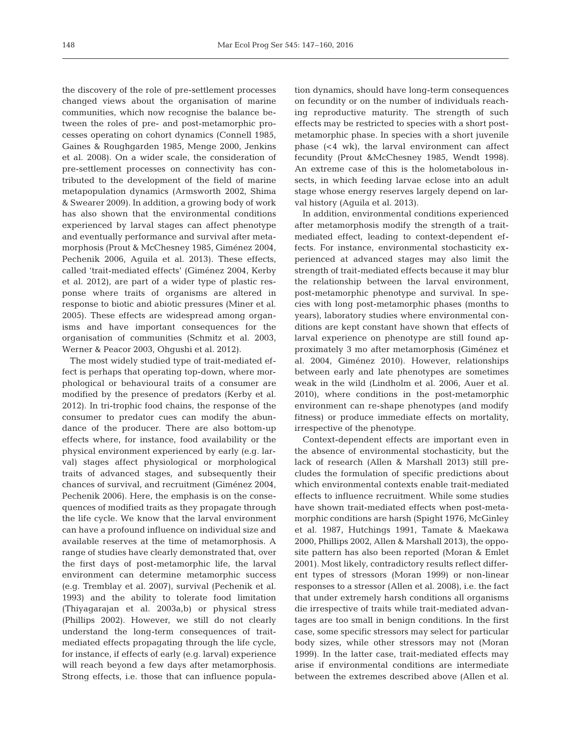the discovery of the role of pre-settlement processes changed views about the organisation of marine communities, which now recognise the balance be tween the roles of pre- and post-metamorphic processes operating on cohort dynamics (Connell 1985, Gaines & Roughgarden 1985, Menge 2000, Jenkins et al. 2008). On a wider scale, the consideration of pre-settlement processes on connectivity has contributed to the development of the field of marine metapopulation dynamics (Armsworth 2002, Shima & Swearer 2009). In addition, a growing body of work has also shown that the environmental conditions experienced by larval stages can affect phenotype and eventually performance and survival after metamorphosis (Prout & McChesney 1985, Giménez 2004, Pechenik 2006, Aguila et al. 2013). These effects, called 'trait-mediated effects' (Giménez 2004, Kerby et al. 2012), are part of a wider type of plastic response where traits of organisms are altered in response to biotic and abiotic pressures (Miner et al. 2005). These effects are widespread among organisms and have important consequences for the organisation of communities (Schmitz et al. 2003, Werner & Peacor 2003, Ohgushi et al. 2012).

The most widely studied type of trait-mediated ef fect is perhaps that operating top-down, where morphological or behavioural traits of a consumer are modified by the presence of predators (Kerby et al. 2012). In tri-trophic food chains, the response of the consumer to predator cues can modify the abundance of the producer. There are also bottom-up effects where, for instance, food availability or the physical environment experienced by early (e.g. larval) stages affect physiological or morphological traits of advanced stages, and subsequently their chances of survival, and recruitment (Giménez 2004, Pechenik 2006). Here, the emphasis is on the consequences of modified traits as they propagate through the life cycle. We know that the larval environment can have a profound influence on individual size and available reserves at the time of metamorphosis. A range of studies have clearly demonstrated that, over the first days of post-metamorphic life, the larval environment can determine metamorphic success (e.g. Tremblay et al. 2007), survival (Pechenik et al. 1993) and the ability to tolerate food limitation (Thiyagarajan et al. 2003a,b) or physical stress (Phillips 2002). However, we still do not clearly understand the long-term consequences of traitmediated effects propagating through the life cycle, for instance, if effects of early (e.g. larval) experience will reach beyond a few days after metamorphosis. Strong effects, i.e. those that can influence population dynamics, should have long-term consequences on fecundity or on the number of individuals reaching reproductive maturity. The strength of such effects may be restricted to species with a short postmetamorphic phase. In species with a short juvenile phase (<4 wk), the larval environment can affect fecundity (Prout &McChesney 1985, Wendt 1998). An extreme case of this is the holometabolous insects, in which feeding larvae eclose into an adult stage whose energy reserves largely depend on larval history (Aguila et al. 2013).

In addition, environmental conditions experienced after metamorphosis modify the strength of a traitmediated effect, leading to context-dependent ef fects. For instance, environmental stochasticity experienced at advanced stages may also limit the strength of trait-mediated effects because it may blur the relationship between the larval environment, post-metamorphic phenotype and survival. In species with long post-metamorphic phases (months to years), laboratory studies where environmental conditions are kept constant have shown that effects of larval experience on phenotype are still found approximately 3 mo after metamorphosis (Giménez et al. 2004, Giménez 2010). However, relationships between early and late phenotypes are sometimes weak in the wild (Lindholm et al. 2006, Auer et al. 2010), where conditions in the post-metamorphic environment can re-shape phenotypes (and modify fitness) or produce immediate effects on mortality, irrespective of the phenotype.

Context-dependent effects are important even in the absence of environmental stochasticity, but the lack of research (Allen & Marshall 2013) still precludes the formulation of specific predictions about which environmental contexts enable trait-mediated effects to influence recruitment. While some studies have shown trait-mediated effects when post-metamorphic conditions are harsh (Spight 1976, McGinley et al. 1987, Hutchings 1991, Tamate & Maekawa 2000, Phillips 2002, Allen & Marshall 2013), the opposite pattern has also been reported (Moran & Emlet 2001). Most likely, contradictory results reflect different types of stressors (Moran 1999) or non-linear responses to a stressor (Allen et al. 2008), i.e. the fact that under extremely harsh conditions all organisms die irrespective of traits while trait-mediated advantages are too small in benign conditions. In the first case, some specific stressors may select for particular body sizes, while other stressors may not (Moran 1999). In the latter case, trait-mediated effects may arise if environmental conditions are intermediate between the extremes described above (Allen et al.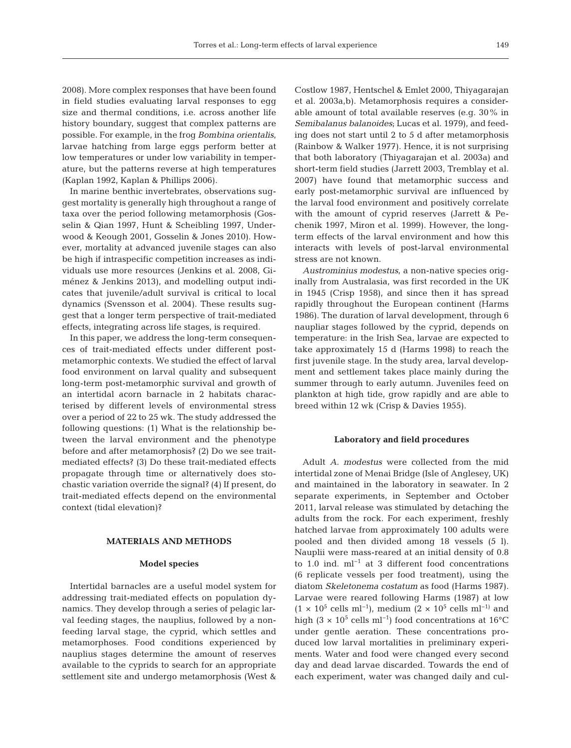2008). More complex responses that have been found in field studies evaluating larval responses to egg size and thermal conditions, i.e. across another life history boundary, suggest that complex patterns are possible. For example, in the frog *Bombina orientalis*, larvae hatching from large eggs perform better at low temperatures or under low variability in temperature, but the patterns reverse at high temperatures (Kaplan 1992, Kaplan & Phillips 2006).

In marine benthic invertebrates, observations suggest mortality is generally high throughout a range of taxa over the period following metamorphosis (Gosselin & Qian 1997, Hunt & Scheibling 1997, Underwood & Keough 2001, Gosselin & Jones 2010). However, mortality at advanced juvenile stages can also be high if intraspecific competition increases as individuals use more resources (Jenkins et al. 2008, Gi ménez & Jenkins 2013), and modelling output indicates that juvenile/adult survival is critical to local dynamics (Svensson et al. 2004). These results suggest that a longer term perspective of trait-mediated effects, integrating across life stages, is required.

In this paper, we address the long-term consequences of trait-mediated effects under different postmetamorphic contexts. We studied the effect of larval food environment on larval quality and subsequent long-term post-metamorphic survival and growth of an intertidal acorn barnacle in 2 habitats characterised by different levels of environmental stress over a period of 22 to 25 wk. The study addressed the following questions: (1) What is the relationship be tween the larval environment and the phenotype before and after metamorphosis? (2) Do we see traitmediated effects? (3) Do these trait-mediated effects propagate through time or alternatively does stochastic variation override the signal? (4) If present, do trait-mediated effects depend on the environmental context (tidal elevation)?

# **MATERIALS AND METHODS**

#### **Model species**

Intertidal barnacles are a useful model system for addressing trait-mediated effects on population dynamics. They develop through a series of pelagic larval feeding stages, the nauplius, followed by a nonfeeding larval stage, the cyprid, which settles and metamorphoses. Food conditions experienced by nauplius stages determine the amount of reserves available to the cyprids to search for an appropriate settlement site and undergo metamorphosis (West & Costlow 1987, Hentschel & Emlet 2000, Thiyagarajan et al. 2003a,b). Metamorphosis requires a considerable amount of total available reserves (e.g. 30% in *Semibalanus balanoides*; Lucas et al. 1979), and feeding does not start until 2 to 5 d after metamorphosis (Rainbow & Walker 1977). Hence, it is not surprising that both laboratory (Thiyagarajan et al. 2003a) and short-term field studies (Jarrett 2003, Tremblay et al. 2007) have found that metamorphic success and early post-metamorphic survival are influenced by the larval food environment and positively correlate with the amount of cyprid reserves (Jarrett & Pechenik 1997, Miron et al. 1999). However, the longterm effects of the larval environment and how this interacts with levels of post-larval environmental stress are not known.

*Austrominius modestus*, a non-native species originally from Australasia, was first recorded in the UK in 1945 (Crisp 1958), and since then it has spread rapidly throughout the European continent (Harms 1986). The duration of larval development, through 6 naupliar stages followed by the cyprid, depends on temperature: in the Irish Sea, larvae are expected to take approximately 15 d (Harms 1998) to reach the first juvenile stage. In the study area, larval development and settlement takes place mainly during the summer through to early autumn. Juveniles feed on plankton at high tide, grow rapidly and are able to breed within 12 wk (Crisp & Davies 1955).

#### **Laboratory and field procedures**

Adult *A. modestus* were collected from the mid intertidal zone of Menai Bridge (Isle of Anglesey, UK) and maintained in the laboratory in seawater. In 2 separate experiments, in September and October 2011, larval release was stimulated by detaching the adults from the rock. For each experiment, freshly hatched larvae from approximately 100 adults were pooled and then divided among 18 vessels (5 l). Nauplii were mass-reared at an initial density of 0.8 to 1.0 ind. ml−1 at 3 different food concentrations (6 replicate vessels per food treatment), using the diatom *Skeletonema costatum* as food (Harms 1987). Larvae were reared following Harms (1987) at low  $(1 \times 10^5 \text{ cells m}^{-1})$ , medium  $(2 \times 10^5 \text{ cells m}^{-1})$  and high (3 × 10<sup>5</sup> cells ml<sup>-1</sup>) food concentrations at 16°C under gentle aeration. These concentrations produced low larval mortalities in preliminary experiments. Water and food were changed every second day and dead larvae discarded. Towards the end of each experiment, water was changed daily and cul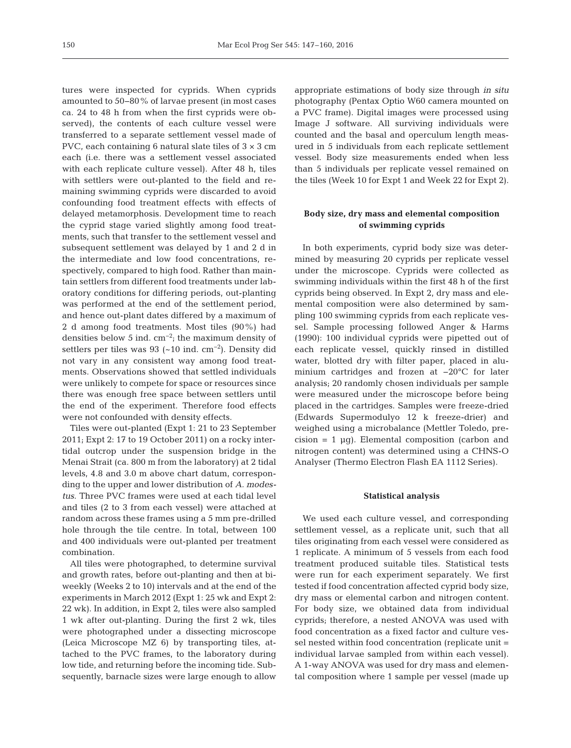tures were inspected for cyprids. When cyprids amounted to 50−80% of larvae present (in most cases ca. 24 to 48 h from when the first cyprids were ob served), the contents of each culture vessel were transferred to a separate settlement vessel made of PVC, each containing 6 natural slate tiles of  $3 \times 3$  cm each (i.e. there was a settlement vessel associated with each replicate culture vessel). After 48 h, tiles with settlers were out-planted to the field and remaining swimming cyprids were discarded to avoid confounding food treatment effects with effects of delayed metamorphosis. Development time to reach the cyprid stage varied slightly among food treatments, such that transfer to the settlement vessel and subsequent settlement was delayed by 1 and 2 d in the intermediate and low food concentrations, respectively, compared to high food. Rather than maintain settlers from different food treatments under laboratory conditions for differing periods, out-planting was performed at the end of the settlement period, and hence out-plant dates differed by a maximum of 2 d among food treatments. Most tiles (90%) had densities below 5 ind.  $cm^{-2}$ ; the maximum density of settlers per tiles was 93 (~10 ind.  $cm^{-2}$ ). Density did not vary in any consistent way among food treatments. Observations showed that settled individuals were unlikely to compete for space or resources since there was enough free space between settlers until the end of the experiment. Therefore food effects were not confounded with density effects.

Tiles were out-planted (Expt 1: 21 to 23 September 2011; Expt 2: 17 to 19 October 2011) on a rocky intertidal outcrop under the suspension bridge in the Menai Strait (ca. 800 m from the laboratory) at 2 tidal levels, 4.8 and 3.0 m above chart datum, corresponding to the upper and lower distribution of *A. modestus*. Three PVC frames were used at each tidal level and tiles (2 to 3 from each vessel) were attached at random across these frames using a 5 mm pre-drilled hole through the tile centre. In total, between 100 and 400 individuals were out-planted per treatment combination.

All tiles were photographed, to determine survival and growth rates, before out-planting and then at biweekly (Weeks 2 to 10) intervals and at the end of the experiments in March 2012 (Expt 1: 25 wk and Expt 2: 22 wk). In addition, in Expt 2, tiles were also sampled 1 wk after out-planting. During the first 2 wk, tiles were photographed under a dissecting microscope (Leica Microscope MZ 6) by transporting tiles, attached to the PVC frames, to the laboratory during low tide, and returning before the incoming tide. Subsequently, barnacle sizes were large enough to allow

appropriate estimations of body size through *in situ* photography (Pentax Optio W60 camera mounted on a PVC frame). Digital images were processed using Image J software. All surviving individuals were counted and the basal and operculum length measured in 5 individuals from each replicate settlement vessel. Body size measurements ended when less than 5 individuals per replicate vessel remained on the tiles (Week 10 for Expt 1 and Week 22 for Expt 2).

# **Body size, dry mass and elemental composition of swimming cyprids**

In both experiments, cyprid body size was determined by measuring 20 cyprids per replicate vessel under the microscope. Cyprids were collected as swimming individuals within the first 48 h of the first cyprids being observed. In Expt 2, dry mass and elemental composition were also determined by sampling 100 swimming cyprids from each replicate vessel. Sample processing followed Anger & Harms (1990): 100 individual cyprids were pipetted out of each replicate vessel, quickly rinsed in distilled water, blotted dry with filter paper, placed in aluminium cartridges and frozen at −20°C for later analysis; 20 randomly chosen individuals per sample were measured under the microscope before being placed in the cartridges. Samples were freeze-dried (Edwards Supermodulyo 12 k freeze-drier) and weighed using a microbalance (Mettler Toledo, precision  $= 1 \mu q$ ). Elemental composition (carbon and nitrogen content) was determined using a CHNS-O Analyser (Thermo Electron Flash EA 1112 Series).

#### **Statistical analysis**

We used each culture vessel, and corresponding settlement vessel, as a replicate unit, such that all tiles originating from each vessel were considered as 1 replicate. A minimum of 5 vessels from each food treatment produced suitable tiles. Statistical tests were run for each experiment separately. We first tested if food concentration affected cyprid body size, dry mass or elemental carbon and nitrogen content. For body size, we obtained data from individual cyprids; therefore, a nested ANOVA was used with food concentration as a fixed factor and culture vessel nested within food concentration (replicate unit = individual larvae sampled from within each vessel). A 1-way ANOVA was used for dry mass and elemental composition where 1 sample per vessel (made up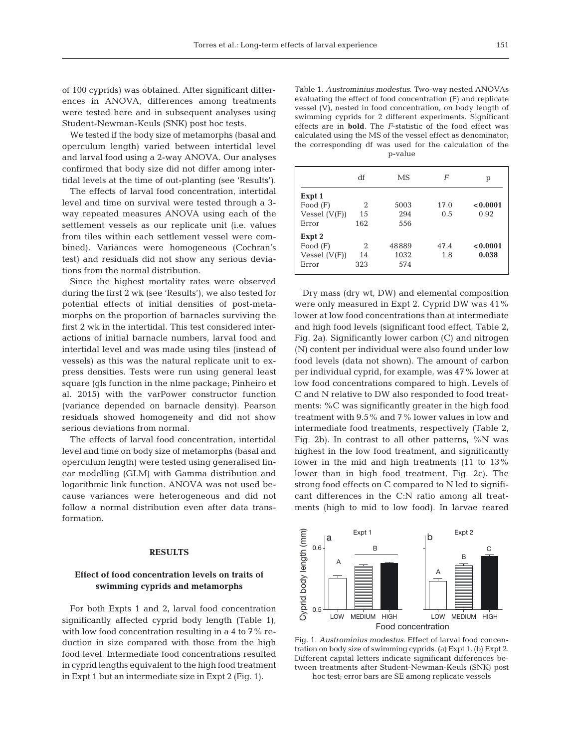of 100 cyprids) was obtained. After significant differences in ANOVA, differences among treatments were tested here and in subsequent analyses using Student-Newman-Keuls (SNK) post hoc tests.

We tested if the body size of metamorphs (basal and operculum length) varied between intertidal level and larval food using a 2-way ANOVA. Our analyses confirmed that body size did not differ among intertidal levels at the time of out-planting (see 'Results').

The effects of larval food concentration, intertidal level and time on survival were tested through a 3 way repeated measures ANOVA using each of the settlement vessels as our replicate unit (i.e. values from tiles within each settlement vessel were combined). Variances were homogeneous (Cochran's test) and residuals did not show any serious deviations from the normal distribution.

Since the highest mortality rates were observed during the first 2 wk (see 'Results'), we also tested for potential effects of initial densities of post-metamorphs on the proportion of barnacles surviving the first 2 wk in the intertidal. This test considered interactions of initial barnacle numbers, larval food and intertidal level and was made using tiles (instead of vessels) as this was the natural replicate unit to express densities. Tests were run using general least square (gls function in the nlme package; Pinheiro et al. 2015) with the varPower constructor function (variance depended on barnacle density). Pearson residuals showed homogeneity and did not show serious deviations from normal.

The effects of larval food concentration, intertidal level and time on body size of metamorphs (basal and operculum length) were tested using generalised linear modelling (GLM) with Gamma distribution and logarithmic link function. ANOVA was not used be cause variances were heterogeneous and did not follow a normal distribution even after data transformation.

## **RESULTS**

# **Effect of food concentration levels on traits of swimming cyprids and metamorphs**

For both Expts 1 and 2, larval food concentration significantly affected cyprid body length (Table 1), with low food concentration resulting in a 4 to 7% reduction in size compared with those from the high food level. Intermediate food concentrations resulted in cyprid lengths equivalent to the high food treatment in Expt 1 but an intermediate size in Expt 2 (Fig. 1).

Table 1. *Austrominius modestus*. Two-way nested ANOVAs evaluating the effect of food concentration (F) and replicate vessel (V), nested in food concentration, on body length of swimming cyprids for 2 different experiments. Significant effects are in **bold**. The *F*-statistic of the food effect was calculated using the MS of the vessel effect as denominator; the corresponding df was used for the calculation of the p-value

|                 | df             | MS    | F    | р        |
|-----------------|----------------|-------|------|----------|
| Expt 1          |                |       |      |          |
| Food $(F)$      | 2              | 5003  | 17.0 | < 0.0001 |
| Vessel $(V(F))$ | 15             | 294   | 0.5  | 0.92     |
| Error           | 162            | 556   |      |          |
| Expt 2          |                |       |      |          |
| Food $(F)$      | $\mathfrak{D}$ | 48889 | 47.4 | < 0.0001 |
| Vessel $(V(F))$ | 14             | 1032  | 1.8  | 0.038    |
| Error           | 323            | 574   |      |          |
|                 |                |       |      |          |

Dry mass (dry wt, DW) and elemental composition were only measured in Expt 2. Cyprid DW was 41% lower at low food concentrations than at intermediate and high food levels (significant food effect, Table 2, Fig. 2a). Significantly lower carbon (C) and nitrogen (N) content per individual were also found under low food levels (data not shown). The amount of carbon per individual cyprid, for example, was 47% lower at low food concentrations compared to high. Levels of C and N relative to DW also responded to food treatments: %C was significantly greater in the high food treatment with 9.5% and 7% lower values in low and intermediate food treatments, respectively (Table 2, Fig. 2b). In contrast to all other patterns,  $\%N$  was highest in the low food treatment, and significantly lower in the mid and high treatments (11 to 13% lower than in high food treatment, Fig. 2c). The strong food effects on C compared to N led to significant differences in the C:N ratio among all treatments (high to mid to low food). In larvae reared



Fig. 1. *Austrominius modestus*. Effect of larval food concentration on body size of swimming cyprids. (a) Expt 1, (b) Expt 2. Different capital letters indicate significant differences between treatments after Student-Newman-Keuls (SNK) post hoc test; error bars are SE among replicate vessels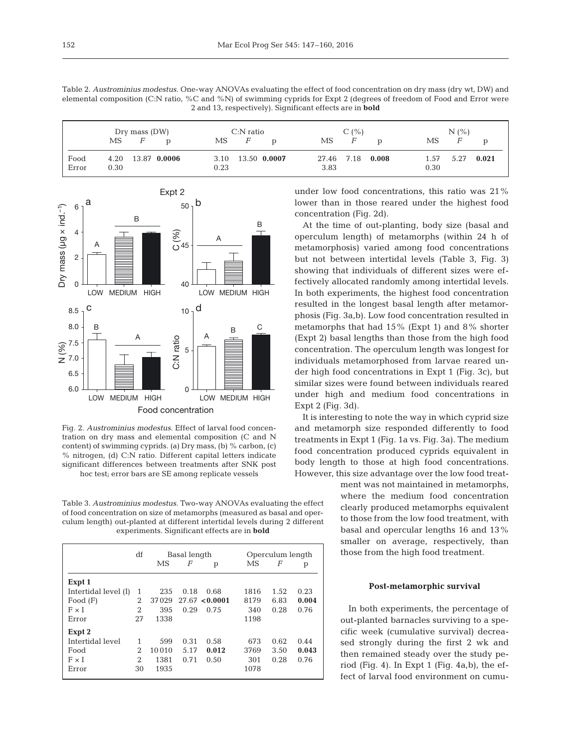| Dry mass (DW) |                              | $C:$ N ratio                 | C(%)                        | N(% )                         |  |
|---------------|------------------------------|------------------------------|-----------------------------|-------------------------------|--|
|               | МS<br>F                      | MS.<br>F                     | MS<br>F                     | F<br>МS                       |  |
| Food<br>Error | 4.20<br>13.87 0.0006<br>0.30 | 13.50 0.0007<br>3.10<br>0.23 | 27.46 7.18<br>0.008<br>3.83 | 5.27<br>1.57<br>0.021<br>0.30 |  |



Fig. 2. *Austrominius modestus*. Effect of larval food concentration on dry mass and elemental composition (C and N content) of swimming cyprids. (a) Dry mass, (b) % carbon, (c) % nitrogen, (d) C:N ratio. Different capital letters indicate significant differences between treatments after SNK post hoc test; error bars are SE among replicate vessels

Table 3. *Austrominius modestus*. Two-way ANOVAs evaluating the effect of food concentration on size of metamorphs (measured as basal and operculum length) out-planted at different intertidal levels during 2 different experiments. Significant effects are in **bold**

|                      | df | Basal length |      |                | Operculum length |      |       |  |
|----------------------|----|--------------|------|----------------|------------------|------|-------|--|
|                      |    | MS           | F    | р              | MS               | F    | p     |  |
| Expt 1               |    |              |      |                |                  |      |       |  |
| Intertidal level (I) | 1  | 235          | 0.18 | 0.68           | 1816             | 1.52 | 0.23  |  |
| Food $(F)$           | 2  | 37029        |      | 27.67 < 0.0001 | 8179             | 6.83 | 0.004 |  |
| $F \times I$         | 2  | 395          | 0.29 | 0.75           | 340              | 0.28 | 0.76  |  |
| Error                | 27 | 1338         |      |                | 1198             |      |       |  |
| Expt 2               |    |              |      |                |                  |      |       |  |
| Intertidal level     | 1  | 599          | 0.31 | 0.58           | 673              | 0.62 | 0.44  |  |
| Food                 | 2  | 10010        | 5.17 | 0.012          | 3769             | 3.50 | 0.043 |  |
| $F \times I$         | 2  | 1381         | 0.71 | 0.50           | 301              | 0.28 | 0.76  |  |
| Error                | 30 | 1935         |      |                | 1078             |      |       |  |

under low food concentrations, this ratio was 21% lower than in those reared under the highest food concentration (Fig. 2d).

At the time of out-planting, body size (basal and operculum length) of metamorphs (within 24 h of metamorphosis) varied among food concentrations but not between intertidal levels (Table 3, Fig. 3) showing that individuals of different sizes were ef fectively allocated randomly among intertidal levels. In both experiments, the highest food concentration resulted in the longest basal length after metamorphosis (Fig. 3a,b). Low food concentration resulted in metamorphs that had 15% (Expt 1) and 8% shorter (Expt 2) basal lengths than those from the high food concentration. The operculum length was longest for individuals metamorphosed from larvae reared under high food concentrations in Expt 1 (Fig. 3c), but similar sizes were found between individuals reared under high and medium food concentrations in Expt 2 (Fig. 3d).

It is interesting to note the way in which cyprid size and metamorph size responded differently to food treatments in Expt 1 (Fig. 1a vs. Fig. 3a). The medium food concentration produced cyprids equivalent in body length to those at high food concentrations. However, this size advantage over the low food treat-

> ment was not maintained in metamorphs, where the medium food concentration clearly produced metamorphs equivalent to those from the low food treatment, with basal and opercular lengths 16 and 13% smaller on average, respectively, than those from the high food treatment.

# **Post-metamorphic survival**

In both experiments, the percentage of out-planted barnacles surviving to a specific week (cumulative survival) decrea sed strongly during the first 2 wk and then remained steady over the study period (Fig. 4). In Expt 1 (Fig. 4a,b), the ef fect of larval food environment on cumu-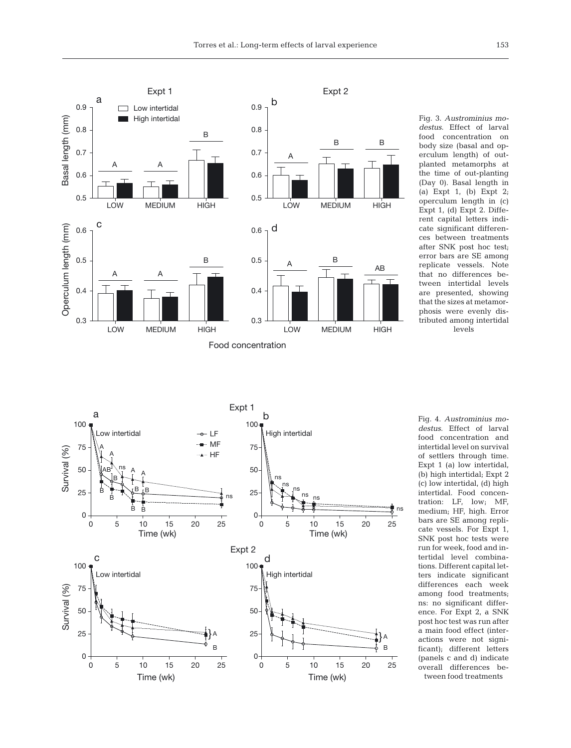

Fig. 3. *Austrominius mo destus*. Effect of larval food concentration on body size (basal and operculum length) of outplanted metamorphs at the time of out-planting (Day 0). Basal length in (a) Expt 1, (b) Expt 2; oper culum length in  $(c)$ Expt  $1$ , (d) Expt  $2$ . Different capital letters indicate significant differences between treatments after SNK post hoc test; error bars are SE among replicate vessels. Note that no differences between intertidal levels are presented, showing that the sizes at metamorphosis were evenly distributed among intertidal levels



Fig. 4. *Austrominius mo destus*. Effect of larval food concentration and intertidal level on survival of settlers through time. Expt 1 (a) low intertidal, (b) high intertidal; Expt 2 (c) low intertidal, (d) high intertidal. Food concentration: LF, low; MF, medium; HF, high. Error bars are SE among replicate vessels. For Expt 1, SNK post hoc tests were run for week, food and intertidal level combinations. Different capital letters indicate significant differences each week among food treatments; ns: no significant difference. For Expt 2, a SNK post hoc test was run after a main food effect (interactions were not significant); different letters (panels c and d) indicate overall differences between food treatments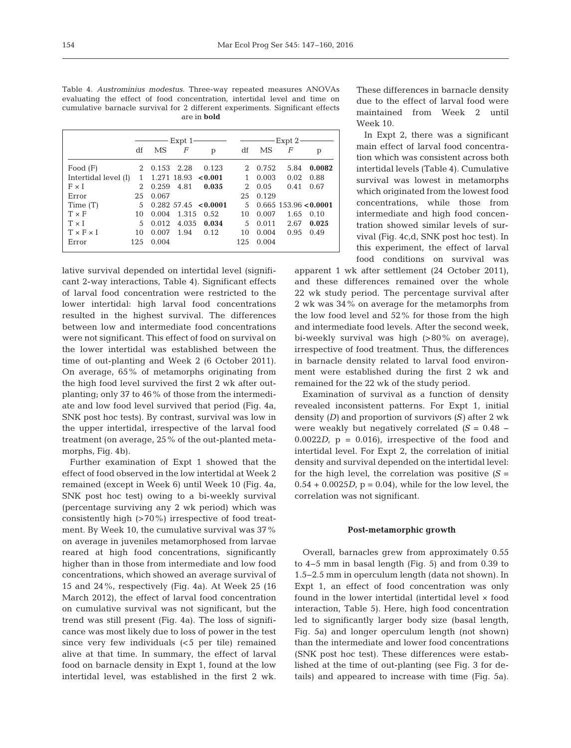| Table 4. Austrominius modestus. Three-way repeated measures ANOVAs            |
|-------------------------------------------------------------------------------|
| evaluating the effect of food concentration, intertidal level and time on     |
| cumulative barnacle survival for 2 different experiments. Significant effects |
| are in <b>bold</b>                                                            |

|                       |               | Expt 1 |                       |                           |      | – Expt 2 |      |                         |
|-----------------------|---------------|--------|-----------------------|---------------------------|------|----------|------|-------------------------|
|                       | df            | MS     | F                     | p                         | df   | MS       | F    | р                       |
| Food $(F)$            | 2             | 0.153  | 2.28                  | 0.123                     | 2.   | 0.752    | 5.84 | 0.0082                  |
| Intertidal level (I)  | 1             |        | $1.271$ 18.93 < 0.001 |                           | 1    | 0.003    | 0.02 | 0.88                    |
| FxI                   | $\mathcal{D}$ | 0.259  | 4.81                  | 0.035                     | 2    | 0.05     | 0.41 | 0.67                    |
| Error                 | 25            | 0.067  |                       |                           | 25   | 0.129    |      |                         |
| Time (T)              | 5             |        |                       | $0.282\,57.45\,$ < 0.0001 | 5    |          |      | $0.665$ 153.96 < 0.0001 |
| $T \times F$          | 10            | 0.004  | 1.315                 | 0.52                      | 10   | 0.007    | 1.65 | 0.10                    |
| $T \times I$          | 5             | 0.012  | 4.035                 | 0.034                     | 5    | 0.011    | 2.67 | 0.025                   |
| $T \times F \times I$ | 10            | 0.007  | 1.94                  | 0.12                      | 10   | 0.004    | 0.95 | 0.49                    |
| Error                 | 125           | 0.004  |                       |                           | 12.5 | 0.004    |      |                         |

lative survival depended on intertidal level (significant 2-way interactions, Table 4). Significant effects of larval food concentration were restricted to the lower intertidal: high larval food concentrations resulted in the highest survival. The differences between low and intermediate food concentrations were not significant. This effect of food on survival on the lower intertidal was established between the time of out-planting and Week 2 (6 October 2011). On average, 65% of metamorphs originating from the high food level survived the first 2 wk after outplanting; only 37 to 46% of those from the intermediate and low food level survived that period (Fig. 4a, SNK post hoc tests). By contrast, survival was low in the upper intertidal, irrespective of the larval food treatment (on average, 25% of the out-planted metamorphs, Fig. 4b).

Further examination of Expt 1 showed that the effect of food observed in the low intertidal at Week 2 remained (except in Week 6) until Week 10 (Fig. 4a, SNK post hoc test) owing to a bi-weekly survival (percentage surviving any 2 wk period) which was consistently high (>70%) irrespective of food treatment. By Week 10, the cumulative survival was 37% on average in juveniles metamorphosed from larvae reared at high food concentrations, significantly higher than in those from intermediate and low food concentrations, which showed an average survival of 15 and 24%, respectively (Fig. 4a). At Week 25 (16 March 2012), the effect of larval food concentration on cumulative survival was not significant, but the trend was still present (Fig. 4a). The loss of significance was most likely due to loss of power in the test since very few individuals (<5 per tile) remained alive at that time. In summary, the effect of larval food on barnacle density in Expt 1, found at the low intertidal level, was established in the first 2 wk.

These differences in barnacle density due to the effect of larval food were maintained from Week 2 until Week 10.

In Expt 2, there was a significant main effect of larval food concentration which was consistent across both intertidal levels (Table 4). Cumulative survival was lowest in metamorphs which originated from the lowest food concentrations, while those from intermediate and high food concentration showed similar levels of survival (Fig. 4c,d, SNK post hoc test). In this experiment, the effect of larval food conditions on survival was

apparent 1 wk after settlement (24 October 2011), and these differences remained over the whole 22 wk study period. The percentage survival after 2 wk was 34% on average for the metamorphs from the low food level and 52% for those from the high and intermediate food levels. After the second week, bi-weekly survival was high (>80% on average), irrespective of food treatment. Thus, the differences in barnacle density related to larval food environment were established during the first 2 wk and remained for the 22 wk of the study period.

Examination of survival as a function of density revealed inconsistent patterns. For Expt 1, initial density *(D)* and proportion of survivors *(S)* after 2 wk were weakly but negatively correlated *(S* = 0.48 −  $0.0022D$ ,  $p = 0.016$ , irrespective of the food and intertidal level. For Expt 2, the correlation of initial density and survival depended on the intertidal level: for the high level, the correlation was positive  $(S =$  $0.54 + 0.0025D$ ,  $p = 0.04$ , while for the low level, the correlation was not significant.

## **Post-metamorphic growth**

Overall, barnacles grew from approximately 0.55 to 4−5 mm in basal length (Fig. 5) and from 0.39 to 1.5−2.5 mm in operculum length (data not shown). In Expt 1, an effect of food concentration was only found in the lower intertidal (intertidal level × food interaction, Table 5). Here, high food concentration led to significantly larger body size (basal length, Fig. 5a) and longer operculum length (not shown) than the intermediate and lower food concentrations (SNK post hoc test). These differences were established at the time of out-planting (see Fig. 3 for de tails) and appeared to increase with time (Fig. 5a).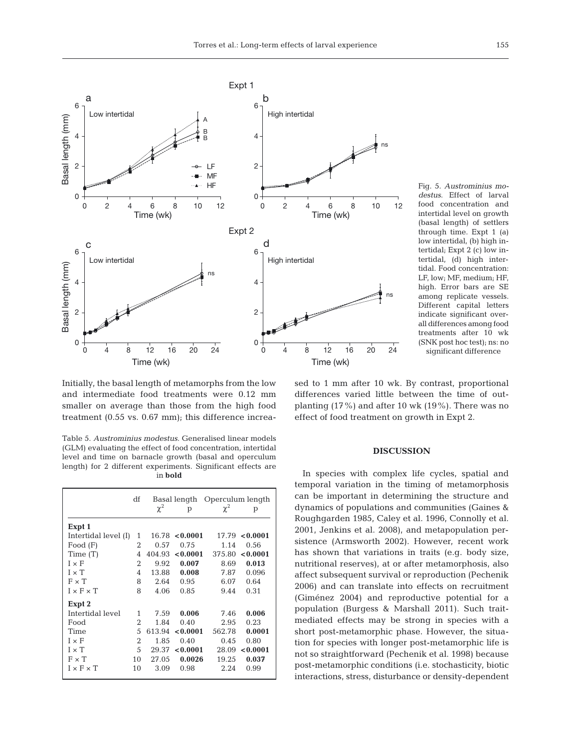

Fig. 5. *Austrominius mo destus*. Effect of larval food concentration and intertidal level on growth (basal length) of settlers through time. Expt 1 (a) low intertidal, (b) high intertidal; Expt 2 (c) low intertidal, (d) high intertidal. Food concentration: LF, low; MF, medium; HF, high. Error bars are SE among replicate vessels. Different capital letters indicate significant overall differences among food treatments after 10 wk (SNK post hoc test); ns: no significant difference

Initially, the basal length of metamorphs from the low and intermediate food treatments were 0.12 mm smaller on average than those from the high food treatment  $(0.55 \text{ vs. } 0.67 \text{ mm})$ ; this difference increa-

Table 5. *Austrominius modestus*. Generalised linear models (GLM) evaluating the effect of food concentration, intertidal level and time on barnacle growth (basal and operculum length) for 2 different experiments. Significant effects are in **bold**

|                       | df |          | Basal length | Operculum length |                  |  |
|-----------------------|----|----------|--------------|------------------|------------------|--|
|                       |    | $\chi^2$ | p            | $\chi^2$         | р                |  |
| Expt 1                |    |          |              |                  |                  |  |
| Intertidal level (I)  | 1  | 16.78    | < 0.0001     |                  | $17.79$ < 0.0001 |  |
| Food $(F)$            | 2  | 0.57     | 0.75         | 1.14             | 0.56             |  |
| Time(T)               | 4  | 404.93   | < 0.0001     | 375.80           | 0.0001           |  |
| $I \times F$          | 2  | 9.92     | 0.007        | 8.69             | 0.013            |  |
| $I \times T$          | 4  | 13.88    | 0.008        | 7.87             | 0.096            |  |
| $F \times T$          | 8  | 2.64     | 0.95         | 6.07             | 0.64             |  |
| $I \times F \times T$ | 8  | 4.06     | 0.85         | 9.44             | 0.31             |  |
| Expt 2                |    |          |              |                  |                  |  |
| Intertidal level      | 1  | 7.59     | 0.006        | 7.46             | 0.006            |  |
| Food                  | 2  | 1.84     | 0.40         | 2.95             | 0.23             |  |
| Time                  | 5  | 613.94   | < 0.0001     | 562.78           | 0.0001           |  |
| $I \times F$          | 2  | 1.85     | 0.40         | 0.45             | 0.80             |  |
| $I \times T$          | 5  | 29.37    | < 0.0001     | 28.09            | < 0.0001         |  |
| $F \times T$          | 10 | 27.05    | 0.0026       | 19.25            | 0.037            |  |
| $I \times F \times T$ | 10 | 3.09     | 0.98         | 2.24             | 0.99             |  |

sed to 1 mm after 10 wk. By contrast, proportional differences varied little between the time of outplanting (17%) and after 10 wk (19%). There was no effect of food treatment on growth in Expt 2.

## **DISCUSSION**

In species with complex life cycles, spatial and temporal variation in the timing of metamorphosis can be important in determining the structure and dynamics of populations and communities (Gaines & Roughgarden 1985, Caley et al. 1996, Connolly et al. 2001, Jenkins et al. 2008), and metapopulation persistence (Armsworth 2002). However, recent work has shown that variations in traits (e.g. body size, nutritional reserves), at or after metamorphosis, also affect subsequent survival or reproduction (Pechenik 2006) and can translate into effects on recruitment (Giménez 2004) and reproductive potential for a population (Burgess & Marshall 2011). Such traitmediated effects may be strong in species with a short post-metamorphic phase. However, the situation for species with longer post-metamorphic life is not so straightforward (Pechenik et al. 1998) because post-metamorphic conditions (i.e. stochasticity, biotic interactions, stress, disturbance or density-dependent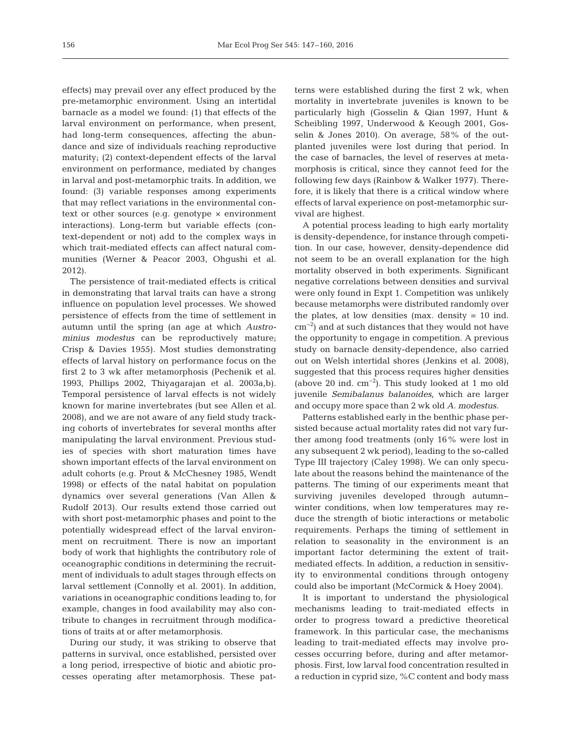effects) may prevail over any effect produced by the pre-metamorphic environment. Using an intertidal barnacle as a model we found: (1) that effects of the larval environment on performance, when present, had long-term consequences, affecting the abundance and size of individuals reaching reproductive maturity; (2) context-dependent effects of the larval environment on performance, mediated by changes in larval and post-metamorphic traits. In addition, we found: (3) variable responses among experiments that may reflect variations in the environmental context or other sources (e.g. genotype × environment interactions). Long-term but variable effects (context-dependent or not) add to the complex ways in which trait-mediated effects can affect natural communities (Werner & Peacor 2003, Ohgushi et al. 2012).

The persistence of trait-mediated effects is critical in demonstrating that larval traits can have a strong influence on population level processes. We showed persistence of effects from the time of settlement in autumn until the spring (an age at which *Austrominius modestus* can be reproductively mature; Crisp & Davies 1955). Most studies demonstrating effects of larval history on performance focus on the first 2 to 3 wk after metamorphosis (Pechenik et al. 1993, Phillips 2002, Thiyagarajan et al. 2003a,b). Temporal persistence of larval effects is not widely known for marine invertebrates (but see Allen et al. 2008), and we are not aware of any field study tracking cohorts of invertebrates for several months after manipulating the larval environment. Previous studies of species with short maturation times have shown important effects of the larval environment on adult cohorts (e.g. Prout & McChesney 1985, Wendt 1998) or effects of the natal habitat on population dynamics over several generations (Van Allen & Rudolf 2013). Our results extend those carried out with short post-metamorphic phases and point to the potentially widespread effect of the larval environment on recruitment. There is now an important body of work that highlights the contributory role of oceanographic conditions in determining the recruitment of individuals to adult stages through effects on larval settlement (Connolly et al. 2001). In addition, variations in oceanographic conditions leading to, for example, changes in food availability may also contribute to changes in recruitment through modifications of traits at or after metamorphosis.

During our study, it was striking to observe that patterns in survival, once established, persisted over a long period, irrespective of biotic and abiotic processes operating after metamorphosis. These patterns were established during the first 2 wk, when mortality in invertebrate juveniles is known to be particularly high (Gosselin & Qian 1997, Hunt & Scheibling 1997, Underwood & Keough 2001, Gosselin & Jones 2010). On average, 58% of the outplanted juveniles were lost during that period. In the case of barnacles, the level of reserves at meta morphosis is critical, since they cannot feed for the following few days (Rainbow & Walker 1977). Therefore, it is likely that there is a critical window where effects of larval experience on post-metamorphic survival are highest.

A potential process leading to high early mortality is density-dependence, for instance through competition. In our case, however, density-dependence did not seem to be an overall explanation for the high mortality observed in both experiments. Significant negative correlations between densities and survival were only found in Expt 1. Competition was unlikely because metamorphs were distributed randomly over the plates, at low densities (max. density = 10 ind. cm−2) and at such distances that they would not have the opportunity to engage in competition. A previous study on barnacle density-dependence, also carried out on Welsh intertidal shores (Jenkins et al. 2008), suggested that this process requires higher densities (above 20 ind. cm−2). This study looked at 1 mo old juvenile *Semibalanus balanoides*, which are larger and occupy more space than 2 wk old *A. modestus*.

Patterns established early in the benthic phase persisted because actual mortality rates did not vary further among food treatments (only 16% were lost in any subsequent 2 wk period), leading to the so-called Type III trajectory (Caley 1998). We can only speculate about the reasons behind the maintenance of the patterns. The timing of our experiments meant that surviving juveniles developed through autumn− winter conditions, when low temperatures may reduce the strength of biotic interactions or metabolic requirements. Perhaps the timing of settlement in relation to seasonality in the environment is an important factor determining the extent of traitmediated effects. In addition, a reduction in sensitivity to environmental conditions through ontogeny could also be important (McCormick & Hoey 2004).

It is important to understand the physiological mechanisms leading to trait-mediated effects in order to progress toward a predictive theoretical framework. In this particular case, the mechanisms leading to trait-mediated effects may involve processes occurring before, during and after metamorphosis. First, low larval food concentration resulted in a reduction in cyprid size, %C content and body mass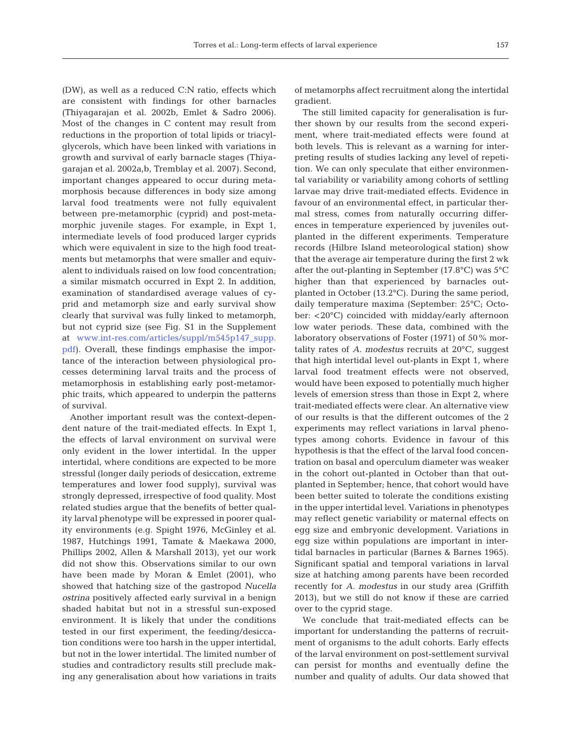(DW), as well as a reduced C:N ratio, effects which are consistent with findings for other barnacles (Thiyagarajan et al. 2002b, Emlet & Sadro 2006). Most of the changes in C content may result from reductions in the proportion of total lipids or triacylglycerols, which have been linked with variations in growth and survival of early barnacle stages (Thiyagarajan et al. 2002a,b, Tremblay et al. 2007). Second, important changes appeared to occur during metamorphosis because differences in body size among larval food treatments were not fully equivalent between pre-metamorphic (cyprid) and post-metamorphic juvenile stages. For example, in Expt 1, intermediate levels of food produced larger cyprids which were equivalent in size to the high food treatments but metamorphs that were smaller and equivalent to individuals raised on low food concentration; a similar mismatch occurred in Expt 2. In addition, examination of standardised average values of cyprid and metamorph size and early survival show clearly that survival was fully linked to metamorph, but not cyprid size (see Fig. S1 in the Supplement at [www.int-res.com/articles/suppl/m545p147\\_supp.](http://www.int-res.com/articles/suppl/m545p147_supp.pdf) [pdf\). O](http://www.int-res.com/articles/suppl/m545p147_supp.pdf)verall, these findings emphasise the importance of the interaction between physiological processes determining larval traits and the process of metamorphosis in establishing early post-metamorphic traits, which appeared to underpin the patterns of survival.

Another important result was the context-dependent nature of the trait-mediated effects. In Expt 1, the effects of larval environment on survival were only evident in the lower intertidal. In the upper intertidal, where conditions are expected to be more stressful (longer daily periods of desiccation, extreme temperatures and lower food supply), survival was strongly depressed, irrespective of food quality. Most related studies argue that the benefits of better quality larval phenotype will be expressed in poorer quality environments (e.g. Spight 1976, McGinley et al. 1987, Hutchings 1991, Tamate & Maekawa 2000, Phillips 2002, Allen & Marshall 2013), yet our work did not show this. Observations similar to our own have been made by Moran & Emlet (2001), who showed that hatching size of the gastropod *Nucella ostrina* positively affected early survival in a benign shaded habitat but not in a stressful sun-exposed environment. It is likely that under the conditions tested in our first experiment, the feeding/desiccation conditions were too harsh in the upper intertidal, but not in the lower intertidal. The limited number of studies and contradictory results still preclude making any generalisation about how variations in traits

of metamorphs affect recruitment along the intertidal gradient.

The still limited capacity for generalisation is further shown by our results from the second experiment, where trait-mediated effects were found at both levels. This is relevant as a warning for interpreting results of studies lacking any level of repetition. We can only speculate that either environmental variability or variability among cohorts of settling larvae may drive trait-mediated effects. Evidence in favour of an environmental effect, in particular thermal stress, comes from naturally occurring differences in temperature experienced by juveniles outplanted in the different experiments. Temperature records (Hilbre Island meteorological station) show that the average air temperature during the first 2 wk after the out-planting in September (17.8°C) was 5°C higher than that experienced by barnacles outplanted in October (13.2°C). During the same period, daily temperature maxima (September: 25°C; October: <20°C) coincided with midday/early afternoon low water periods. These data, combined with the laboratory observations of Foster (1971) of 50% mortality rates of *A. modestus* recruits at 20°C, suggest that high intertidal level out-plants in Expt 1, where larval food treatment effects were not observed, would have been exposed to potentially much higher levels of emersion stress than those in Expt 2, where trait-mediated effects were clear. An alternative view of our results is that the different outcomes of the 2 experiments may reflect variations in larval phenotypes among cohorts. Evidence in favour of this hypothesis is that the effect of the larval food concentration on basal and operculum diameter was weaker in the cohort out-planted in October than that outplanted in September; hence, that cohort would have been better suited to tolerate the conditions existing in the upper intertidal level. Variations in phenotypes may reflect genetic variability or maternal effects on egg size and embryonic development. Variations in egg size within populations are important in intertidal barnacles in particular (Barnes & Barnes 1965). Significant spatial and temporal variations in larval size at hatching among parents have been recorded recently for *A. modestus* in our study area (Griffith 2013), but we still do not know if these are carried over to the cyprid stage.

We conclude that trait-mediated effects can be important for understanding the patterns of recruitment of organisms to the adult cohorts. Early effects of the larval environment on post-settlement survival can persist for months and eventually define the number and quality of adults. Our data showed that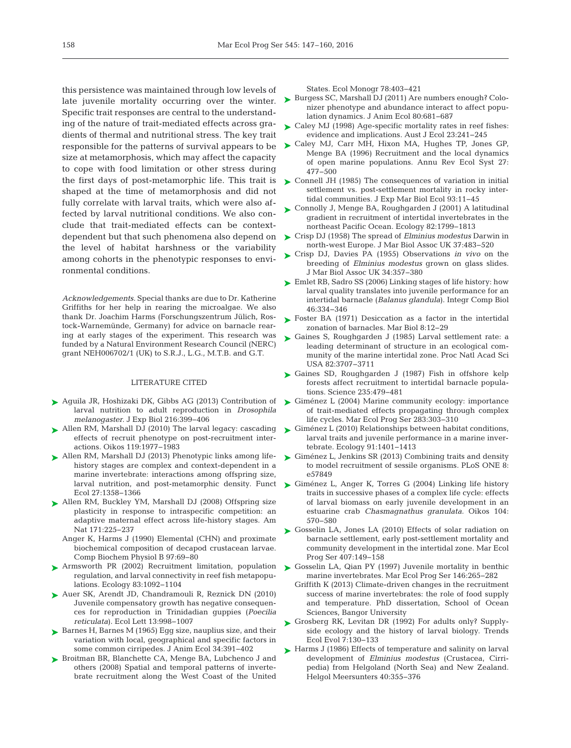this persistence was maintained through low levels of Specific trait responses are central to the understanding of the nature of trait-mediated effects across gradients of thermal and nutritional stress. The key trait responsible for the patterns of survival appears to be size at metamorphosis, which may affect the capacity to cope with food limitation or other stress during the first days of post-metamorphic life. This trait is shaped at the time of metamorphosis and did not fully correlate with larval traits, which were also affected by larval nutritional conditions. We also conclude that trait-mediated effects can be contextthe level of habitat harshness or the variability among cohorts in the phenotypic responses to environmental conditions.

*Acknowledgements*. Special thanks are due to Dr. Katherine Griffiths for her help in rearing the microalgae. We also thank Dr. Joachim Harms (Forschungszentrum Jülich, Rostock-Warnemünde, Germany) for advice on barnacle rearing at early stages of the experiment. This research was funded by a Natural Environment Research Council (NERC) grant NEH006702/1 (UK) to S.R.J., L.G., M.T.B. and G.T.

#### LITERATURE CITED

- ▶ [Aguila JR, Hoshizaki DK, Gibbs AG \(2013\) Contribution of](http://dx.doi.org/10.1242/jeb.078311) larval nutrition to adult reproduction in *Drosophila melanogaster.* J Exp Biol 216: 399−406
- ▶ Allen RM, Marshall DJ (2010) The larval legacy: cascading effects of recruit phenotype on post-recruitment inter actions. Oikos 119: 1977−1983
- ▶ [Allen RM, Marshall DJ \(2013\) Phenotypic links among life](http://dx.doi.org/10.1111/1365-2435.12117)history stages are complex and context-dependent in a marine invertebrate: interactions among offspring size, larval nutrition, and post-metamorphic density. Funct Ecol 27: 1358−1366
- [Allen RM, Buckley YM, Marshall DJ \(2008\) Offspring size](http://dx.doi.org/10.1086/524952) ➤ plasticity in response to intraspecific competition: an adaptive maternal effect across life-history stages. Am Nat 171:225-237
	- Anger K, Harms J (1990) Elemental (CHN) and proximate biochemical composition of decapod crustacean larvae. Comp Biochem Physiol B 97:69-80
- [Armsworth PR \(2002\) Recruitment limitation, population](http://dx.doi.org/10.1890/0012-9658(2002)083[1092%3ARLPRAL]2.0.CO%3B2) ➤ regulation, and larval connectivity in reef fish metapopulations. Ecology 83: 1092−1104
- ▶ [Auer SK, Arendt JD, Chandramouli R, Reznick DN \(2010\)](http://www.ncbi.nlm.nih.gov/entrez/query.fcgi?cmd=Retrieve&db=PubMed&list_uids=20545728&dopt=Abstract) Juvenile compensatory growth has negative consequen ces for reproduction in Trinidadian guppies (*Poecilia reticulata*). Ecol Lett 13: 998−1007
- ▶ [Barnes H, Barnes M \(1965\) Egg size, nauplius size, and their](http://dx.doi.org/10.2307/2656) variation with local, geographical and specific factors in some common cirripedes. J Anim Ecol 34: 391−402
- ▶ [Broitman BR, Blanchette CA, Menge BA, Lubchenco J and](http://dx.doi.org/10.1890/06-1805.1) others (2008) Spatial and temporal patterns of invertebrate recruitment along the West Coast of the United

States. Ecol Monogr 78:403-421

- late juvenile mortality occurring over the winter. Burgess SC, Marshall DJ (2011) Are numbers enough? Colonizer phenotype and abundance interact to affect population dynamics. J Anim Ecol 80:681-687
	- ► Caley MJ (1998) Age-specific mortality rates in reef fishes: evidence and implications. Aust J Ecol 23:241-245
	- ► [Caley MJ, Carr MH, Hixon MA, Hughes TP, Jones GP,](http://dx.doi.org/10.1146/annurev.ecolsys.27.1.477) Menge BA (1996) Recruitment and the local dynamics of open marine populations. Annu Rev Ecol Syst 27: 477−500
	- ► [Connell JH \(1985\) The consequences of variation in initial](http://dx.doi.org/10.1016/0022-0981(85)90146-7) settlement vs. post-settlement mortality in rocky intertidal communities. J Exp Mar Biol Ecol 93: 11−45
	- [Connolly J, Menge BA, Roughgarden J \(2001\) A latitudinal](http://dx.doi.org/10.1890/0012-9658(2001)082[1799%3AALGIRO]2.0.CO%3B2) ➤ gradient in recruitment of intertidal invertebrates in the northeast Pacific Ocean. Ecology 82: 1799−1813
- dependent but that such phenomena also depend on [Crisp DJ \(1958\) The spread of](http://dx.doi.org/10.1017/S0025315400023833) *Elminius modestus* Darwin in ➤ north-west Europe. J Mar Biol Assoc UK 37:483–520
	- ► [Crisp DJ, Davies PA \(1955\) Observations](http://dx.doi.org/10.1017/S0025315400027715) *in vivo* on the breeding of *Elminius modestus* grown on glass slides. J Mar Biol Assoc UK 34: 357−380
	- ► Emlet RB, Sadro SS (2006) Linking stages of life history: how larval quality translates into juvenile performance for an intertidal barnacle (*Balanus glandula*). Integr Comp Biol 46: 334−346
	- ► [Foster BA \(1971\) Desiccation as a factor in the intertidal](http://dx.doi.org/10.1007/BF00349341) zonation of barnacles. Mar Biol 8: 12−29
	- [Gaines S, Roughgarden J \(1985\) Larval settlement rate: a](http://dx.doi.org/10.1073/pnas.82.11.3707) ➤ leading determinant of structure in an ecological community of the marine intertidal zone. Proc Natl Acad Sci USA 82:3707-3711
	- ▶ [Gaines SD, Roughgarden J \(1987\) Fish in offshore kelp](http://dx.doi.org/10.1126/science.235.4787.479) forests affect recruitment to intertidal barnacle populations. Science 235: 479−481
	- ► Giménez L (2004) Marine community ecology: importance of trait-mediated effects propagating through complex life cycles. Mar Ecol Prog Ser 283:303-310
	- ► [Giménez L \(2010\) Relationships between habitat conditions,](http://dx.doi.org/10.1890/09-1028.1) larval traits and juvenile performance in a marine invertebrate. Ecology 91: 1401−1413
	- ► [Giménez L, Jenkins SR \(2013\) Combining traits and density](http://dx.doi.org/10.1371/journal.pone.0057849) to model recruitment of sessile organisms. PLoS ONE 8: e57849
	- ► [Giménez L, Anger K, Torres G \(2004\) Linking life history](http://dx.doi.org/10.1111/j.0030-1299.2004.12957.x) traits in successive phases of a complex life cycle: effects of larval biomass on early juvenile development in an estuarine crab *Chasmagnathus granulata.* Oikos 104: 570−580
	- ▶ [Gosselin LA, Jones LA \(2010\) Effects of solar radiation on](http://dx.doi.org/10.3354/meps08567) barnacle settlement, early post-settlement mortality and community development in the intertidal zone. Mar Ecol Prog Ser 407:149-158
	- ► [Gosselin LA, Qian PY \(1997\) Juvenile mortality in benthic](http://dx.doi.org/10.3354/meps146265) marine invertebrates. Mar Ecol Prog Ser 146:265-282
		- Griffith K (2013) Climate-driven changes in the recruitment success of marine invertebrates: the role of food supply and temperature. PhD dissertation, School of Ocean Sciences, Bangor University
	- ► [Grosberg RK, Levitan DR \(1992\) For adults only? Supply](http://dx.doi.org/10.1016/0169-5347(92)90148-5)side ecology and the history of larval biology. Trends Ecol Evol 7: 130−133
	- ▶ [Harms J \(1986\) Effects of temperature and salinity on larval](http://dx.doi.org/10.1007/BF01983818) development of *Elminius modestus* (Crustacea, Cirripedia) from Helgoland (North Sea) and New Zealand. Helgol Meersunters 40:355-376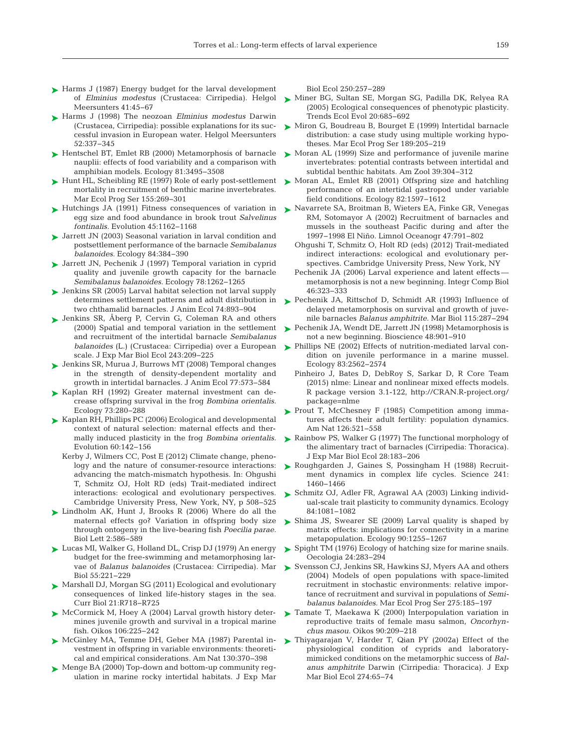- ► [Harms J \(1987\) Energy budget for the larval development](http://dx.doi.org/10.1007/BF02365099) of *Elminius modestus* (Crustacea: Cirripedia). Helgol Meersunters 41:45-67
- ► [Harms J \(1998\) The neozoan](http://dx.doi.org/10.1007/BF02908907) *Elminius modestus* Darwin (Crustacea, Cirripedia): possible explanations for its successful invasion in European water. Helgol Meersunters 52: 337−345
- ► [Hentschel BT, Emlet RB \(2000\) Metamorphosis of barnacle](http://dx.doi.org/10.1890/0012-9658(2000)081[3495%3AMOBNEO]2.0.CO%3B2) nauplii: effects of food variability and a comparison with amphibian models. Ecology 81: 3495−3508
- ► [Hunt HL, Scheibling RE \(1997\) Role of early post-settlement](http://dx.doi.org/10.3354/meps155269) ► [Moran AL, Emlet RB \(2001\) Offspring size and hatchling](http://dx.doi.org/10.1890/0012-9658(2001)082[1597%3AOSAPIV]2.0.CO%3B2) mortality in recruitment of benthic marine invertebrates. Mar Ecol Prog Ser 155:269-301
- ▶ [Hutchings JA \(1991\) Fitness consequences of variation in](http://dx.doi.org/10.2307/2409723) egg size and food abundance in brook trout *Salvelinus fontinalis.* Evolution 45: 1162−1168
- ► [Jarrett JN \(2003\) Seasonal variation in larval condition and](http://dx.doi.org/10.1890/0012-9658(2003)084[0384%3ASVILCA]2.0.CO%3B2) postsettlement performance of the barnacle *Semibalanus balanoides.* Ecology 84:384-390
- [Jarrett JN, Pechenik J \(1997\) Temporal variation in cyprid](http://dx.doi.org/10.1890/0012-9658(1997)078[1262%3ATVICQA]2.0.CO%3B2) ➤ quality and juvenile growth capacity for the barnacle *Semibalanus balanoides.* Ecology 78: 1262−1265
- [Jenkins SR \(2005\) Larval habitat selection not larval supply](http://dx.doi.org/10.1111/j.1365-2656.2005.00985.x) ➤ determines settlement patterns and adult distribution in two chthamalid barnacles. J Anim Ecol 74: 893−904
- ▶ Jenkins SR, Aberg P, Cervin G, Coleman RA and others (2000) Spatial and temporal variation in the settlement and recruitment of the intertidal barnacle *Semibalanus balanoides* (L.) (Crustacea: Cirripedia) over a European scale. J Exp Mar Biol Ecol 243: 209−225
- [Jenkins SR, Murua J, Burrows MT \(2008\) Temporal changes](http://dx.doi.org/10.1111/j.1365-2656.2008.01366.x) ➤ in the strength of density-dependent mortality and growth in intertidal barnacles. J Anim Ecol 77:573-584
- ▶ Kaplan RH (1992) Greater maternal investment can decrease offspring survival in the frog *Bombina orientalis.* Ecology 73: 280−288
- ► [Kaplan RH, Phillips PC \(2006\) Ecological and developmental](http://dx.doi.org/10.1111/j.0014-3820.2006.tb01089.x) context of natural selection: maternal effects and thermally induced plasticity in the frog *Bombina orientalis.* Evolution 60: 142−156
	- Kerby J, Wilmers CC, Post E (2012) Climate change, phenology and the nature of consumer-resource interactions: advancing the match-mismatch hypothesis. In: Ohgushi T, Schmitz OJ, Holt RD (eds) Trait-mediated indirect interactions: ecological and evolutionary perspectives. Cambridge University Press, New York, NY, p 508−525
- ▶ [Lindholm AK, Hunt J, Brooks R \(2006\) Where do all the](http://dx.doi.org/10.1098/rsbl.2006.0546) maternal effects go? Variation in offspring body size through ontogeny in the live-bearing fish *Poecilia parae.* Biol Lett 2: 586−589
- [Lucas MI, Walker G, Holland DL, Crisp DJ \(1979\) An energy](http://dx.doi.org/10.1007/BF00396822) ➤ budget for the free-swimming and metamorphosing larvae of *Balanus balanoides* (Crustacea: Cirripedia). Mar Biol 55: 221−229
- [Marshall DJ, Morgan SG \(2011\) Ecological and evolutionary](http://dx.doi.org/10.1016/j.cub.2011.08.022) ➤ consequences of linked life-history stages in the sea. Curr Biol 21: R718−R725
- ► [McCormick M, Hoey A \(2004\) Larval growth history deter](http://dx.doi.org/10.1111/j.0030-1299.2004.13131.x)mines juvenile growth and survival in a tropical marine fish. Oikos 106: 225−242
- ▶ [McGinley MA, Temme DH, Geber MA \(1987\) Parental in](http://dx.doi.org/10.1086/284716)vestment in offspring in variable environments: theoretical and empirical considerations. Am Nat 130:370-398
- ► [Menge BA \(2000\) Top-down and bottom-up community reg](http://dx.doi.org/10.1016/S0022-0981(00)00200-8)ulation in marine rocky intertidal habitats. J Exp Mar

Biol Ecol 250: 257−289

- [Miner BG, Sultan SE, Morgan SG, Padilla DK, Relyea RA](http://dx.doi.org/10.1016/j.tree.2005.08.002) ➤ (2005) Ecological consequences of phenotypic plasticity. Trends Ecol Evol 20:685-692
- [Miron G, Boudreau B, Bourget E \(1999\) Intertidal barnacle](http://dx.doi.org/10.3354/meps189205) ➤ distribution: a case study using multiple working hypotheses. Mar Ecol Prog Ser 189:205-219
- ► [Moran AL \(1999\) Size and performance of juvenile marine](http://dx.doi.org/10.1093/icb/39.2.304) invertebrates: potential contrasts between intertidal and subtidal benthic habitats. Am Zool 39:304-312
- performance of an intertidal gastropod under variable field conditions. Ecology 82: 1597−1612
- [Navarrete SA, Broitman B, Wieters EA, Finke GR, Venegas](http://dx.doi.org/10.4319/lo.2002.47.3.0791) ➤ RM, Sotomayor A (2002) Recruitment of barnacles and mussels in the southeast Pacific during and after the 1997−1998 El Niño. Limnol Oceanogr 47: 791−802
	- Ohgushi T, Schmitz O, Holt RD (eds) (2012) Trait-mediated indirect interactions: ecological and evolutionary perspectives. Cambridge University Press, New York, NY
	- Pechenik JA (2006) Larval experience and latent effects metamorphosis is not a new beginning. Integr Comp Biol 46: 323−333
- ▶ [Pechenik JA, Rittschof D, Schmidt AR \(1993\) Influence of](http://dx.doi.org/10.1007/BF00346346) delayed metamorphosis on survival and growth of juvenile barnacles *Balanus amphitrite.* Mar Biol 115: 287−294
- ► [Pechenik JA, Wendt DE, Jarrett JN \(1998\) Metamorphosis is](http://dx.doi.org/10.2307/1313294) not a new beginning. Bioscience 48: 901−910
- ▶ Phillips NE (2002) Effects of nutrition-mediated larval condition on juvenile performance in a marine mussel. Ecology 83: 2562−2574
	- Pinheiro J, Bates D, DebRoy S, Sarkar D, R Core Team (2015) nlme:Linear and nonlinear mixed effects models. R package version 3.1-122, http://CRAN.R-project.org/ package=nlme
- ▶ [Prout T, McChesney F \(1985\) Competition among imma](http://dx.doi.org/10.1086/284436)tures affects their adult fertility: population dynamics. Am Nat 126:521-558
- ▶ [Rainbow PS, Walker G \(1977\) The functional morphology of](http://dx.doi.org/10.1016/0022-0981(77)90116-2) the alimentary tract of barnacles (Cirripedia: Thoracica). J Exp Mar Biol Ecol 28: 183−206
- ▶ [Roughgarden J, Gaines S, Possingham H \(1988\) Recruit](http://dx.doi.org/10.1126/science.11538249)ment dynamics in complex life cycles. Science 241: 1460−1466
- ▶ [Schmitz OJ, Adler FR, Agrawal AA \(2003\) Linking individ](http://dx.doi.org/10.1890/1051-0761(2003)084[1081%3ALITPTC]2.0.CO%3B2)ual-scale trait plasticity to community dynamics. Ecology 84: 1081−1082
- ► [Shima JS, Swearer SE \(2009\) Larval quality is shaped by](http://dx.doi.org/10.1890/08-0029.1) matrix effects: implications for connectivity in a marine metapopulation. Ecology 90: 1255−1267
- ► [Spight TM \(1976\) Ecology of hatching size for marine snails.](http://dx.doi.org/10.1007/BF00381135) Oecologia 24: 283−294
- ► [Svensson CJ, Jenkins SR, Hawkins SJ, Myers AA and others](http://dx.doi.org/10.3354/meps275185) (2004) Models of open populations with space-limited recruitment in stochastic environments: relative importance of recruitment and survival in populations of *Semibalanus balanoides.* Mar Ecol Prog Ser 275: 185−197
- ▶ [Tamate T, Maekawa K \(2000\) Interpopulation variation in](http://dx.doi.org/10.1034/j.1600-0706.2000.900201.x) reproductive traits of female masu salmon, *Oncorhynchus masou.* Oikos 90: 209−218
- [Thiyagarajan V, Harder T, Qian PY \(2002a\) Effect of the](http://dx.doi.org/10.1016/S0022-0981(02)00182-X) ➤ physiological condition of cyprids and laboratorymimicked conditions on the metamorphic success of *Balanus amphitrite* Darwin (Cirripedia:Thoracica). J Exp Mar Biol Ecol 274:65-74